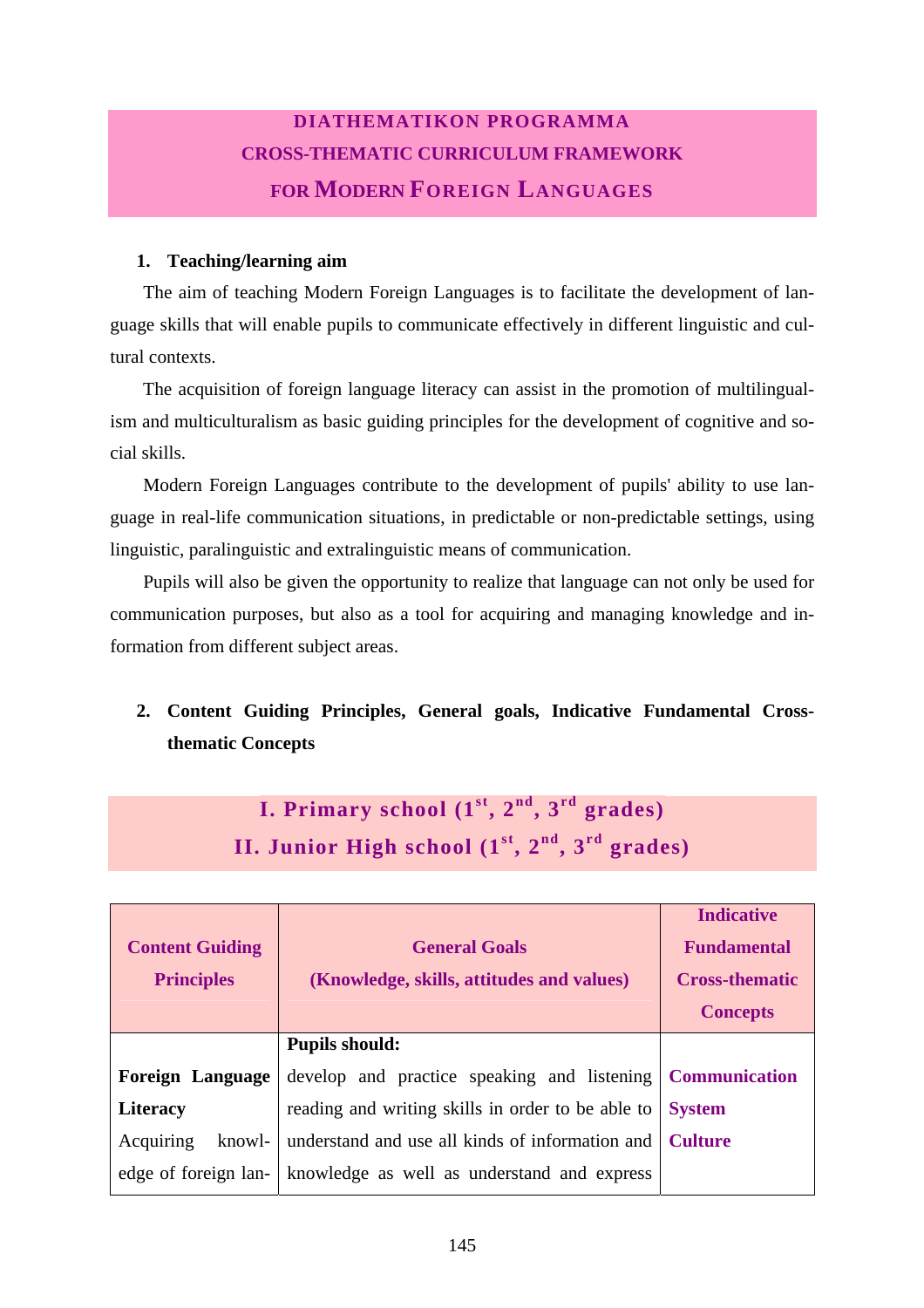## **DIATHEMATIKON PROGRAMMA CROSS-THEMATIC CURRICULUM FRAMEWORK FOR MODERN FOREIGN LANGUAGES**

## **1. Teaching/learning aim**

Acquiring knowl-

edge of foreign lan-

The aim of teaching Modern Foreign Languages is to facilitate the development of language skills that will enable pupils to communicate effectively in different linguistic and cultural contexts.

The acquisition of foreign language literacy can assist in the promotion of multilingualism and multiculturalism as basic guiding principles for the development of cognitive and social skills.

Modern Foreign Languages contribute to the development of pupils' ability to use language in real-life communication situations, in predictable or non-predictable settings, using linguistic, paralinguistic and extralinguistic means of communication.

Pupils will also be given the opportunity to realize that language can not only be used for communication purposes, but also as a tool for acquiring and managing knowledge and information from different subject areas.

## **2. Content Guiding Principles, General goals, Indicative Fundamental Crossthematic Concepts**

| I. Primary school $(1st, 2nd, 3rd$ grades)<br>II. Junior High school $(1st, 2nd, 3rd$ grades) |                                                                   |                                                                                     |  |
|-----------------------------------------------------------------------------------------------|-------------------------------------------------------------------|-------------------------------------------------------------------------------------|--|
|                                                                                               |                                                                   |                                                                                     |  |
| <b>Content Guiding</b><br><b>Principles</b>                                                   | <b>General Goals</b><br>(Knowledge, skills, attitudes and values) | <b>Indicative</b><br><b>Fundamental</b><br><b>Cross-thematic</b><br><b>Concepts</b> |  |
|                                                                                               | <b>Pupils should:</b>                                             |                                                                                     |  |
| <b>Foreign Language</b>                                                                       | develop and practice speaking and listening                       | <b>Communication</b>                                                                |  |
| <b>Literacy</b>                                                                               | reading and writing skills in order to be able to System          |                                                                                     |  |

understand and use all kinds of information and

**Culture** 

knowledge as well as understand and express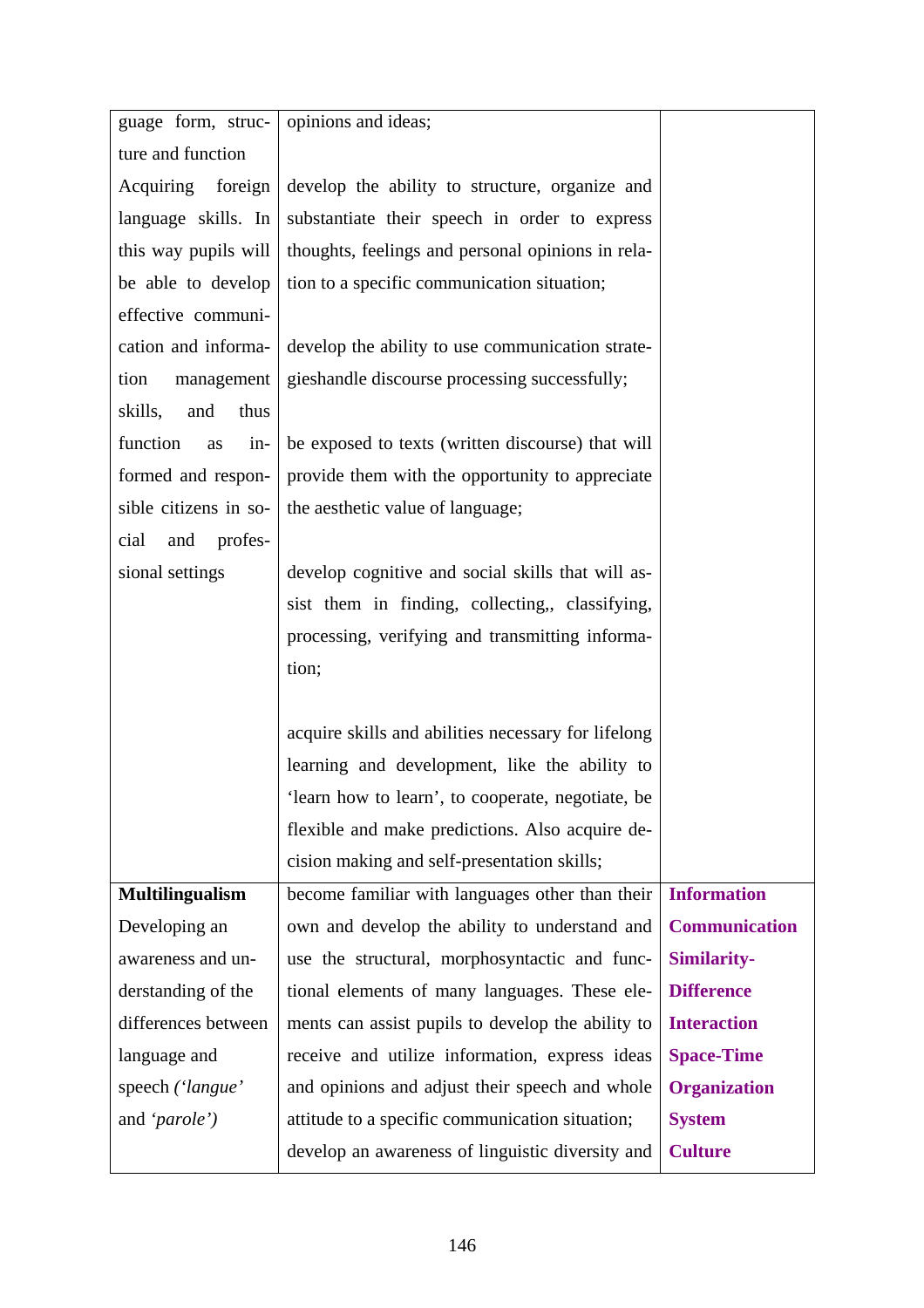| guage form, struc-      | opinions and ideas;                                 |                      |
|-------------------------|-----------------------------------------------------|----------------------|
| ture and function       |                                                     |                      |
| Acquiring foreign       | develop the ability to structure, organize and      |                      |
| language skills. In     | substantiate their speech in order to express       |                      |
| this way pupils will    | thoughts, feelings and personal opinions in rela-   |                      |
| be able to develop      | tion to a specific communication situation;         |                      |
| effective communi-      |                                                     |                      |
| cation and informa-     | develop the ability to use communication strate-    |                      |
| tion<br>management      | gieshandle discourse processing successfully;       |                      |
| skills,<br>and<br>thus  |                                                     |                      |
| function<br>$in-$<br>as | be exposed to texts (written discourse) that will   |                      |
| formed and respon-      | provide them with the opportunity to appreciate     |                      |
| sible citizens in so-   | the aesthetic value of language;                    |                      |
| and profes-<br>cial     |                                                     |                      |
| sional settings         | develop cognitive and social skills that will as-   |                      |
|                         | sist them in finding, collecting,, classifying,     |                      |
|                         | processing, verifying and transmitting informa-     |                      |
|                         | tion;                                               |                      |
|                         |                                                     |                      |
|                         | acquire skills and abilities necessary for lifelong |                      |
|                         | learning and development, like the ability to       |                      |
|                         | 'learn how to learn', to cooperate, negotiate, be   |                      |
|                         | flexible and make predictions. Also acquire de-     |                      |
|                         | cision making and self-presentation skills;         |                      |
| <b>Multilingualism</b>  | become familiar with languages other than their     | <b>Information</b>   |
| Developing an           | own and develop the ability to understand and       | <b>Communication</b> |
| awareness and un-       | use the structural, morphosyntactic and func-       | <b>Similarity-</b>   |
| derstanding of the      | tional elements of many languages. These ele-       | <b>Difference</b>    |
| differences between     | ments can assist pupils to develop the ability to   | <b>Interaction</b>   |
| language and            | receive and utilize information, express ideas      | <b>Space-Time</b>    |
| speech ('langue'        | and opinions and adjust their speech and whole      | <b>Organization</b>  |
| and ' <i>parole</i> ')  | attitude to a specific communication situation;     | <b>System</b>        |
|                         | develop an awareness of linguistic diversity and    | <b>Culture</b>       |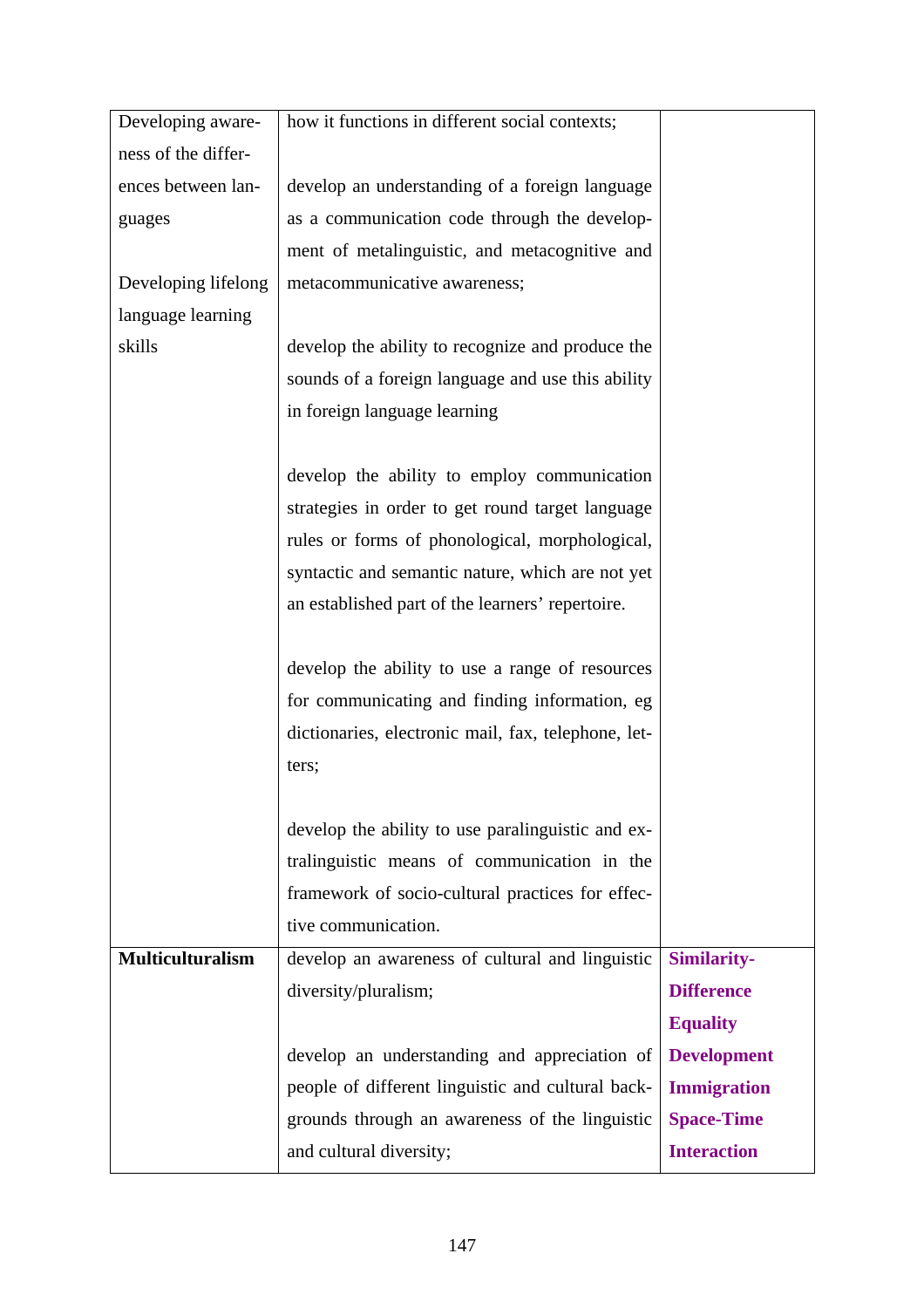| Developing aware-       | how it functions in different social contexts;      |                    |
|-------------------------|-----------------------------------------------------|--------------------|
| ness of the differ-     |                                                     |                    |
| ences between lan-      | develop an understanding of a foreign language      |                    |
| guages                  | as a communication code through the develop-        |                    |
|                         | ment of metalinguistic, and metacognitive and       |                    |
| Developing lifelong     | metacommunicative awareness;                        |                    |
| language learning       |                                                     |                    |
| skills                  | develop the ability to recognize and produce the    |                    |
|                         | sounds of a foreign language and use this ability   |                    |
|                         | in foreign language learning                        |                    |
|                         |                                                     |                    |
|                         | develop the ability to employ communication         |                    |
|                         | strategies in order to get round target language    |                    |
|                         | rules or forms of phonological, morphological,      |                    |
|                         | syntactic and semantic nature, which are not yet    |                    |
|                         | an established part of the learners' repertoire.    |                    |
|                         |                                                     |                    |
|                         | develop the ability to use a range of resources     |                    |
|                         | for communicating and finding information, eg       |                    |
|                         | dictionaries, electronic mail, fax, telephone, let- |                    |
|                         | ters;                                               |                    |
|                         |                                                     |                    |
|                         | develop the ability to use paralinguistic and ex-   |                    |
|                         | tralinguistic means of communication in the         |                    |
|                         | framework of socio-cultural practices for effec-    |                    |
|                         | tive communication.                                 |                    |
| <b>Multiculturalism</b> | develop an awareness of cultural and linguistic     | <b>Similarity-</b> |
|                         | diversity/pluralism;                                | <b>Difference</b>  |
|                         |                                                     | <b>Equality</b>    |
|                         | develop an understanding and appreciation of        | <b>Development</b> |
|                         | people of different linguistic and cultural back-   | <b>Immigration</b> |
|                         | grounds through an awareness of the linguistic      | <b>Space-Time</b>  |
|                         | and cultural diversity;                             | <b>Interaction</b> |